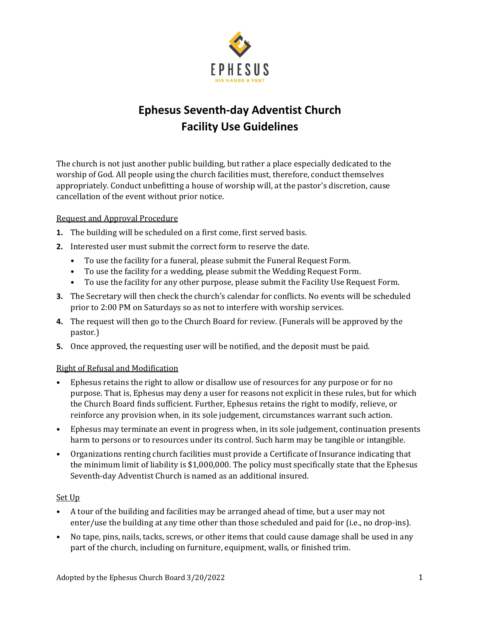

# **Ephesus Seventh‐day Adventist Church Facility Use Guidelines**

The church is not just another public building, but rather a place especially dedicated to the worship of God. All people using the church facilities must, therefore, conduct themselves appropriately. Conduct unbefitting a house of worship will, at the pastor's discretion, cause cancellation of the event without prior notice.

#### Request and Approval Procedure

- **1.** The building will be scheduled on a first come, first served basis.
- **2.** Interested user must submit the correct form to reserve the date.
	- **•** To use the facility for a funeral, please submit the Funeral Request Form.
	- **•** To use the facility for a wedding, please submit the Wedding Request Form.
	- **•** To use the facility for any other purpose, please submit the Facility Use Request Form.
- **3.** The Secretary will then check the church's calendar for conflicts. No events will be scheduled prior to 2:00 PM on Saturdays so as not to interfere with worship services.
- **4.** The request will then go to the Church Board for review. (Funerals will be approved by the pastor.)
- **5.** Once approved, the requesting user will be notified, and the deposit must be paid.

#### Right of Refusal and Modification

- Ephesus retains the right to allow or disallow use of resources for any purpose or for no purpose. That is, Ephesus may deny a user for reasons not explicit in these rules, but for which the Church Board finds sufficient. Further, Ephesus retains the right to modify, relieve, or reinforce any provision when, in its sole judgement, circumstances warrant such action.
- Ephesus may terminate an event in progress when, in its sole judgement, continuation presents harm to persons or to resources under its control. Such harm may be tangible or intangible.
- Organizations renting church facilities must provide a Certificate of Insurance indicating that the minimum limit of liability is \$1,000,000. The policy must specifically state that the Ephesus Seventh-day Adventist Church is named as an additional insured.

#### Set Up

- A tour of the building and facilities may be arranged ahead of time, but a user may not enter/use the building at any time other than those scheduled and paid for (i.e., no drop-ins).
- No tape, pins, nails, tacks, screws, or other items that could cause damage shall be used in any part of the church, including on furniture, equipment, walls, or finished trim.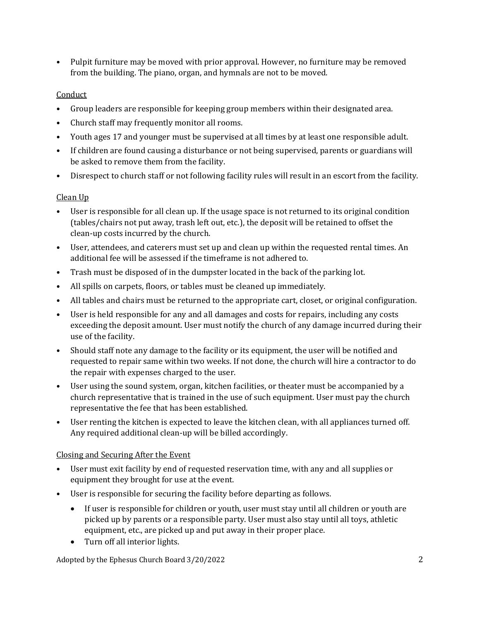• Pulpit furniture may be moved with prior approval. However, no furniture may be removed from the building. The piano, organ, and hymnals are not to be moved.

## **Conduct**

- Group leaders are responsible for keeping group members within their designated area.
- Church staff may frequently monitor all rooms.
- Youth ages 17 and younger must be supervised at all times by at least one responsible adult.
- If children are found causing a disturbance or not being supervised, parents or guardians will be asked to remove them from the facility.
- Disrespect to church staff or not following facility rules will result in an escort from the facility.

## Clean Up

- User is responsible for all clean up. If the usage space is not returned to its original condition (tables/chairs not put away, trash left out, etc.), the deposit will be retained to offset the clean-up costs incurred by the church.
- User, attendees, and caterers must set up and clean up within the requested rental times. An additional fee will be assessed if the timeframe is not adhered to.
- Trash must be disposed of in the dumpster located in the back of the parking lot.
- All spills on carpets, floors, or tables must be cleaned up immediately.
- All tables and chairs must be returned to the appropriate cart, closet, or original configuration.
- User is held responsible for any and all damages and costs for repairs, including any costs exceeding the deposit amount. User must notify the church of any damage incurred during their use of the facility.
- Should staff note any damage to the facility or its equipment, the user will be notified and requested to repair same within two weeks. If not done, the church will hire a contractor to do the repair with expenses charged to the user.
- User using the sound system, organ, kitchen facilities, or theater must be accompanied by a church representative that is trained in the use of such equipment. User must pay the church representative the fee that has been established.
- User renting the kitchen is expected to leave the kitchen clean, with all appliances turned off. Any required additional clean-up will be billed accordingly.

# Closing and Securing After the Event

- User must exit facility by end of requested reservation time, with any and all supplies or equipment they brought for use at the event.
- User is responsible for securing the facility before departing as follows.
	- If user is responsible for children or youth, user must stay until all children or youth are picked up by parents or a responsible party. User must also stay until all toys, athletic equipment, etc., are picked up and put away in their proper place.
	- Turn off all interior lights.

Adopted by the Ephesus Church Board 3/20/2022 2